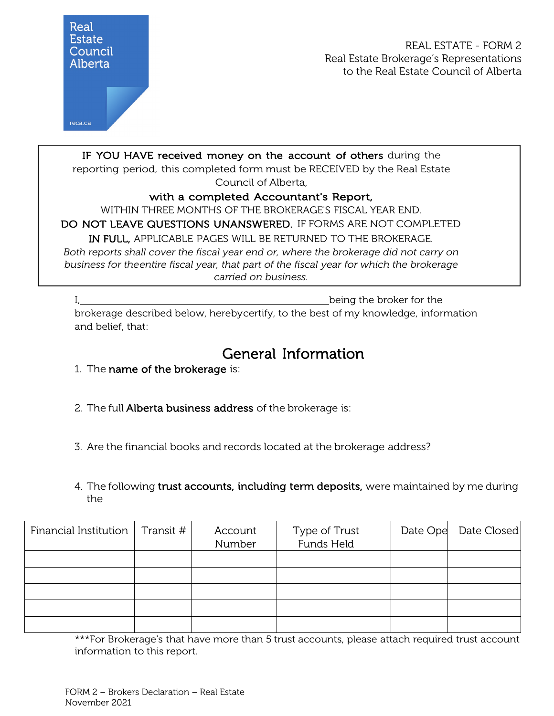

## with a completed Accountant's Report,

WITHIN THREE MONTHS OF THE BROKERAGE'S FISCAL YEAR END.

DO NOT LEAVE QUESTIONS UNANSWERED. IF FORMS ARE NOT COMPLETED

IN FULL, APPLICABLE PAGES WILL BE RETURNED TO THE BROKERAGE.

*Both reports shall cover the fiscal year end or, where the brokerage did not carry on business for theentire fiscal year, that part of the fiscal year for which the brokerage carried on business.*

I, https://www.flagencenter.com/induction-state broker for the broker for the broker for the brokerage described below, herebycertify, to the best of my knowledge, information and belief, that:

## **General Information**<br>1. The name of the brokerage is:

- 
- 2. The full Alberta business address of the brokerage is:
- 3. Are the financial books and records located at the brokerage address?
- 4. The following trust accounts, including term deposits, were maintained by me during the

| Financial Institution   Transit $#$ | Account<br>Number | Type of Trust<br>Funds Held | Date Ope | Date Closed |
|-------------------------------------|-------------------|-----------------------------|----------|-------------|
|                                     |                   |                             |          |             |
|                                     |                   |                             |          |             |
|                                     |                   |                             |          |             |
|                                     |                   |                             |          |             |
|                                     |                   |                             |          |             |

\*\*\*For Brokerage's that have more than 5 trust accounts, please attach required trust account information to this report.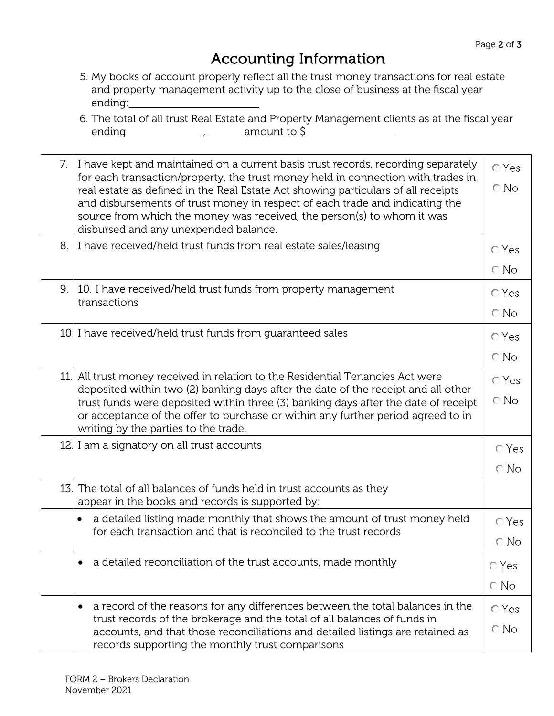## Accounting Information

- 5. My books of account properly reflect all the trust money transactions for real estate and property management activity up to the close of business at the fiscal year ending:
- 6. The total of all trust Real Estate and Property Management clients as at the fiscal year ending  $\frac{1}{1}$ , amount to  $\frac{1}{1}$

| 7 <sub>1</sub> | I have kept and maintained on a current basis trust records, recording separately<br>for each transaction/property, the trust money held in connection with trades in<br>real estate as defined in the Real Estate Act showing particulars of all receipts<br>and disbursements of trust money in respect of each trade and indicating the<br>source from which the money was received, the person(s) to whom it was<br>disbursed and any unexpended balance. | <b>O</b> Yes<br>$\bigcirc$ No |  |  |
|----------------|---------------------------------------------------------------------------------------------------------------------------------------------------------------------------------------------------------------------------------------------------------------------------------------------------------------------------------------------------------------------------------------------------------------------------------------------------------------|-------------------------------|--|--|
| 8.             | I have received/held trust funds from real estate sales/leasing                                                                                                                                                                                                                                                                                                                                                                                               | $O$ Yes                       |  |  |
|                |                                                                                                                                                                                                                                                                                                                                                                                                                                                               | $\bigcirc$ No                 |  |  |
| 9.             | 10. I have received/held trust funds from property management<br>transactions                                                                                                                                                                                                                                                                                                                                                                                 | $\bigcirc$ Yes                |  |  |
|                |                                                                                                                                                                                                                                                                                                                                                                                                                                                               | $\bigcirc$ No                 |  |  |
|                | 10 I have received/held trust funds from guaranteed sales                                                                                                                                                                                                                                                                                                                                                                                                     | $\bigcirc$ Yes                |  |  |
|                |                                                                                                                                                                                                                                                                                                                                                                                                                                                               | $\bigcirc$ No                 |  |  |
| 11.            | All trust money received in relation to the Residential Tenancies Act were                                                                                                                                                                                                                                                                                                                                                                                    | $\bigcirc$ Yes                |  |  |
|                | deposited within two (2) banking days after the date of the receipt and all other<br>trust funds were deposited within three (3) banking days after the date of receipt<br>or acceptance of the offer to purchase or within any further period agreed to in                                                                                                                                                                                                   | $\bigcirc$ No                 |  |  |
|                | writing by the parties to the trade.                                                                                                                                                                                                                                                                                                                                                                                                                          |                               |  |  |
|                | 12. I am a signatory on all trust accounts                                                                                                                                                                                                                                                                                                                                                                                                                    | $\bigcirc$ Yes                |  |  |
|                |                                                                                                                                                                                                                                                                                                                                                                                                                                                               | $\bigcirc$ No                 |  |  |
| 13.            | The total of all balances of funds held in trust accounts as they<br>appear in the books and records is supported by:                                                                                                                                                                                                                                                                                                                                         |                               |  |  |
| $\bullet$      | a detailed listing made monthly that shows the amount of trust money held                                                                                                                                                                                                                                                                                                                                                                                     | ⊙ Yes                         |  |  |
|                | for each transaction and that is reconciled to the trust records                                                                                                                                                                                                                                                                                                                                                                                              |                               |  |  |
|                | a detailed reconciliation of the trust accounts, made monthly                                                                                                                                                                                                                                                                                                                                                                                                 | $\bigcirc$ Yes                |  |  |
|                |                                                                                                                                                                                                                                                                                                                                                                                                                                                               | $\bigcirc$ No                 |  |  |
|                | a record of the reasons for any differences between the total balances in the<br>٠                                                                                                                                                                                                                                                                                                                                                                            | $\bigcirc$ Yes                |  |  |
|                | trust records of the brokerage and the total of all balances of funds in<br>accounts, and that those reconciliations and detailed listings are retained as<br>records supporting the monthly trust comparisons                                                                                                                                                                                                                                                | $\bigcirc$ No                 |  |  |